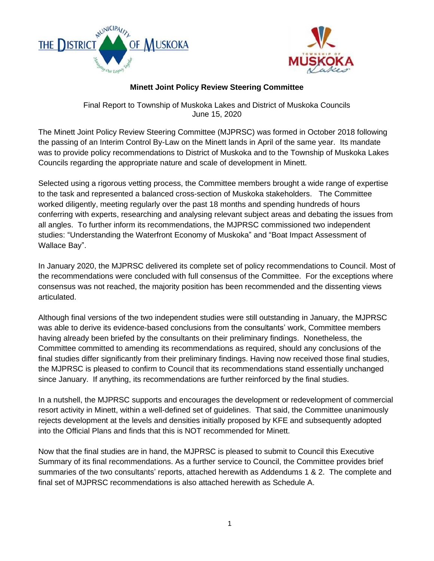



#### **Minett Joint Policy Review Steering Committee**

Final Report to Township of Muskoka Lakes and District of Muskoka Councils June 15, 2020

The Minett Joint Policy Review Steering Committee (MJPRSC) was formed in October 2018 following the passing of an Interim Control By-Law on the Minett lands in April of the same year. Its mandate was to provide policy recommendations to District of Muskoka and to the Township of Muskoka Lakes Councils regarding the appropriate nature and scale of development in Minett.

Selected using a rigorous vetting process, the Committee members brought a wide range of expertise to the task and represented a balanced cross-section of Muskoka stakeholders. The Committee worked diligently, meeting regularly over the past 18 months and spending hundreds of hours conferring with experts, researching and analysing relevant subject areas and debating the issues from all angles. To further inform its recommendations, the MJPRSC commissioned two independent studies: "Understanding the Waterfront Economy of Muskoka" and "Boat Impact Assessment of Wallace Bay".

In January 2020, the MJPRSC delivered its complete set of policy recommendations to Council. Most of the recommendations were concluded with full consensus of the Committee. For the exceptions where consensus was not reached, the majority position has been recommended and the dissenting views articulated.

Although final versions of the two independent studies were still outstanding in January, the MJPRSC was able to derive its evidence-based conclusions from the consultants' work, Committee members having already been briefed by the consultants on their preliminary findings. Nonetheless, the Committee committed to amending its recommendations as required, should any conclusions of the final studies differ significantly from their preliminary findings. Having now received those final studies, the MJPRSC is pleased to confirm to Council that its recommendations stand essentially unchanged since January. If anything, its recommendations are further reinforced by the final studies.

In a nutshell, the MJPRSC supports and encourages the development or redevelopment of commercial resort activity in Minett, within a well-defined set of guidelines. That said, the Committee unanimously rejects development at the levels and densities initially proposed by KFE and subsequently adopted into the Official Plans and finds that this is NOT recommended for Minett.

Now that the final studies are in hand, the MJPRSC is pleased to submit to Council this Executive Summary of its final recommendations. As a further service to Council, the Committee provides brief summaries of the two consultants' reports, attached herewith as Addendums 1 & 2. The complete and final set of MJPRSC recommendations is also attached herewith as Schedule A.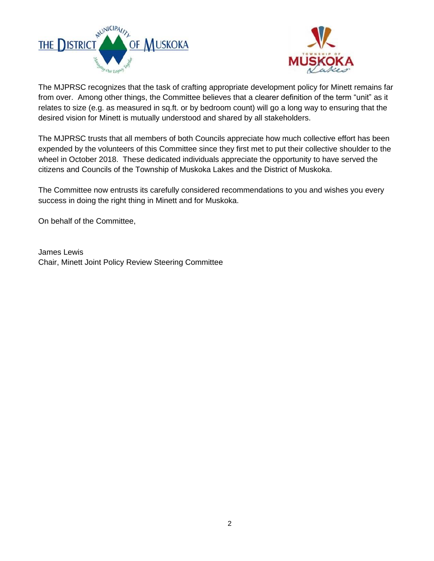



The MJPRSC recognizes that the task of crafting appropriate development policy for Minett remains far from over. Among other things, the Committee believes that a clearer definition of the term "unit" as it relates to size (e.g. as measured in sq.ft. or by bedroom count) will go a long way to ensuring that the desired vision for Minett is mutually understood and shared by all stakeholders.

The MJPRSC trusts that all members of both Councils appreciate how much collective effort has been expended by the volunteers of this Committee since they first met to put their collective shoulder to the wheel in October 2018. These dedicated individuals appreciate the opportunity to have served the citizens and Councils of the Township of Muskoka Lakes and the District of Muskoka.

The Committee now entrusts its carefully considered recommendations to you and wishes you every success in doing the right thing in Minett and for Muskoka.

On behalf of the Committee,

James Lewis Chair, Minett Joint Policy Review Steering Committee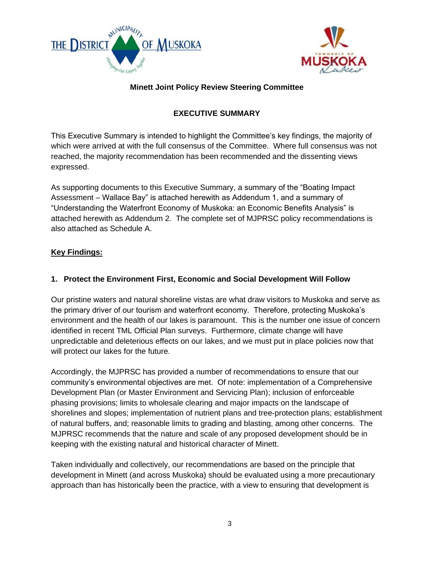



# **Minett Joint Policy Review Steering Committee**

# **EXECUTIVE SUMMARY**

This Executive Summary is intended to highlight the Committee's key findings, the majority of which were arrived at with the full consensus of the Committee. Where full consensus was not reached, the majority recommendation has been recommended and the dissenting views expressed.

As supporting documents to this Executive Summary, a summary of the "Boating Impact Assessment – Wallace Bay" is attached herewith as Addendum 1, and a summary of "Understanding the Waterfront Economy of Muskoka: an Economic Benefits Analysis" is attached herewith as Addendum 2. The complete set of MJPRSC policy recommendations is also attached as Schedule A.

#### **Key Findings:**

# **1. Protect the Environment First, Economic and Social Development Will Follow**

Our pristine waters and natural shoreline vistas are what draw visitors to Muskoka and serve as the primary driver of our tourism and waterfront economy. Therefore, protecting Muskoka's environment and the health of our lakes is paramount. This is the number one issue of concern identified in recent TML Official Plan surveys. Furthermore, climate change will have unpredictable and deleterious effects on our lakes, and we must put in place policies now that will protect our lakes for the future.

Accordingly, the MJPRSC has provided a number of recommendations to ensure that our community's environmental objectives are met. Of note: implementation of a Comprehensive Development Plan (or Master Environment and Servicing Plan); inclusion of enforceable phasing provisions; limits to wholesale clearing and major impacts on the landscape of shorelines and slopes; implementation of nutrient plans and tree-protection plans; establishment of natural buffers, and; reasonable limits to grading and blasting, among other concerns. The MJPRSC recommends that the nature and scale of any proposed development should be in keeping with the existing natural and historical character of Minett.

Taken individually and collectively, our recommendations are based on the principle that development in Minett (and across Muskoka) should be evaluated using a more precautionary approach than has historically been the practice, with a view to ensuring that development is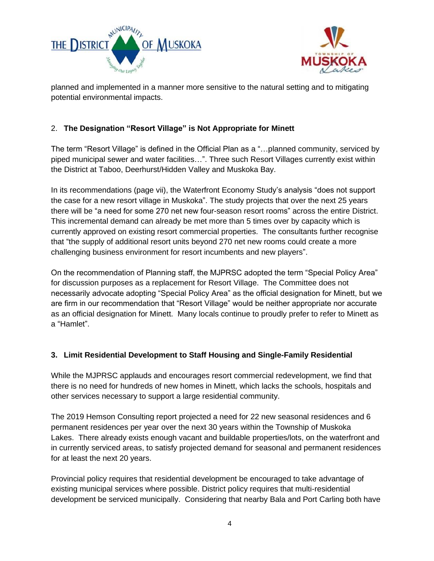



planned and implemented in a manner more sensitive to the natural setting and to mitigating potential environmental impacts.

# 2. **The Designation "Resort Village" is Not Appropriate for Minett**

The term "Resort Village" is defined in the Official Plan as a "…planned community, serviced by piped municipal sewer and water facilities…". Three such Resort Villages currently exist within the District at Taboo, Deerhurst/Hidden Valley and Muskoka Bay.

In its recommendations (page vii), the Waterfront Economy Study's analysis "does not support the case for a new resort village in Muskoka". The study projects that over the next 25 years there will be "a need for some 270 net new four-season resort rooms" across the entire District. This incremental demand can already be met more than 5 times over by capacity which is currently approved on existing resort commercial properties. The consultants further recognise that "the supply of additional resort units beyond 270 net new rooms could create a more challenging business environment for resort incumbents and new players".

On the recommendation of Planning staff, the MJPRSC adopted the term "Special Policy Area" for discussion purposes as a replacement for Resort Village. The Committee does not necessarily advocate adopting "Special Policy Area" as the official designation for Minett, but we are firm in our recommendation that "Resort Village" would be neither appropriate nor accurate as an official designation for Minett. Many locals continue to proudly prefer to refer to Minett as a "Hamlet".

#### **3. Limit Residential Development to Staff Housing and Single-Family Residential**

While the MJPRSC applauds and encourages resort commercial redevelopment, we find that there is no need for hundreds of new homes in Minett, which lacks the schools, hospitals and other services necessary to support a large residential community.

The 2019 Hemson Consulting report projected a need for 22 new seasonal residences and 6 permanent residences per year over the next 30 years within the Township of Muskoka Lakes. There already exists enough vacant and buildable properties/lots, on the waterfront and in currently serviced areas, to satisfy projected demand for seasonal and permanent residences for at least the next 20 years.

Provincial policy requires that residential development be encouraged to take advantage of existing municipal services where possible. District policy requires that multi-residential development be serviced municipally. Considering that nearby Bala and Port Carling both have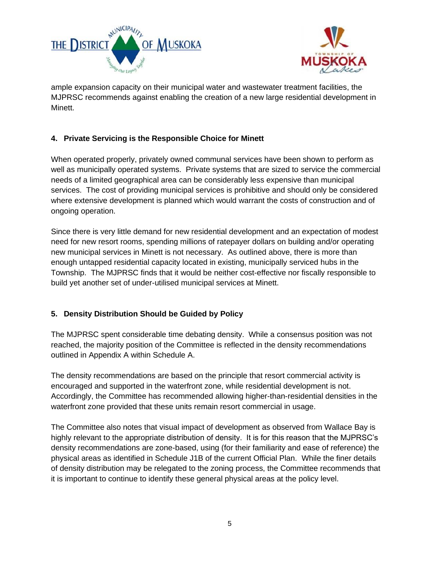



ample expansion capacity on their municipal water and wastewater treatment facilities, the MJPRSC recommends against enabling the creation of a new large residential development in Minett.

# **4. Private Servicing is the Responsible Choice for Minett**

When operated properly, privately owned communal services have been shown to perform as well as municipally operated systems. Private systems that are sized to service the commercial needs of a limited geographical area can be considerably less expensive than municipal services. The cost of providing municipal services is prohibitive and should only be considered where extensive development is planned which would warrant the costs of construction and of ongoing operation.

Since there is very little demand for new residential development and an expectation of modest need for new resort rooms, spending millions of ratepayer dollars on building and/or operating new municipal services in Minett is not necessary. As outlined above, there is more than enough untapped residential capacity located in existing, municipally serviced hubs in the Township. The MJPRSC finds that it would be neither cost-effective nor fiscally responsible to build yet another set of under-utilised municipal services at Minett.

#### **5. Density Distribution Should be Guided by Policy**

The MJPRSC spent considerable time debating density. While a consensus position was not reached, the majority position of the Committee is reflected in the density recommendations outlined in Appendix A within Schedule A.

The density recommendations are based on the principle that resort commercial activity is encouraged and supported in the waterfront zone, while residential development is not. Accordingly, the Committee has recommended allowing higher-than-residential densities in the waterfront zone provided that these units remain resort commercial in usage.

The Committee also notes that visual impact of development as observed from Wallace Bay is highly relevant to the appropriate distribution of density. It is for this reason that the MJPRSC's density recommendations are zone-based, using (for their familiarity and ease of reference) the physical areas as identified in Schedule J1B of the current Official Plan. While the finer details of density distribution may be relegated to the zoning process, the Committee recommends that it is important to continue to identify these general physical areas at the policy level.